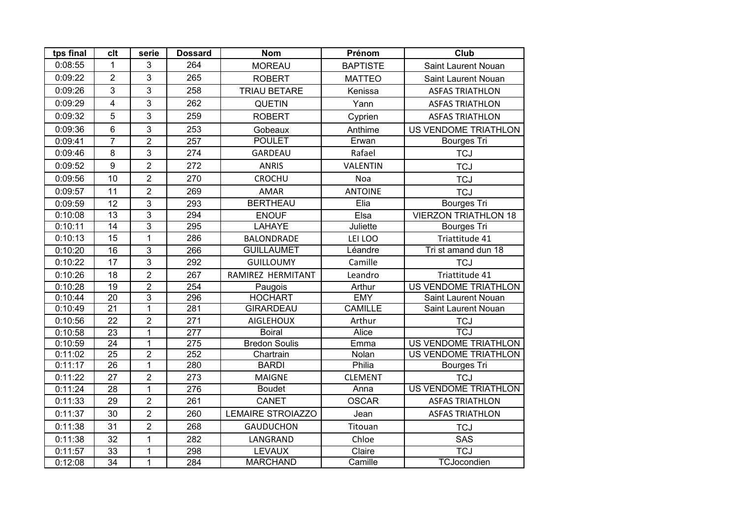| tps final | clt              | serie          | <b>Dossard</b>   | <b>Nom</b>               | Prénom          | Club                        |
|-----------|------------------|----------------|------------------|--------------------------|-----------------|-----------------------------|
| 0:08:55   | 1                | 3              | 264              | <b>MOREAU</b>            | <b>BAPTISTE</b> | Saint Laurent Nouan         |
| 0:09:22   | $\overline{2}$   | 3              | 265              | <b>ROBERT</b>            | <b>MATTEO</b>   | <b>Saint Laurent Nouan</b>  |
| 0:09:26   | 3                | 3              | 258              | <b>TRIAU BETARE</b>      | Kenissa         | <b>ASFAS TRIATHLON</b>      |
| 0:09:29   | $\overline{4}$   | 3              | 262              | <b>QUETIN</b>            | Yann            | <b>ASFAS TRIATHLON</b>      |
| 0:09:32   | 5                | 3              | 259              | <b>ROBERT</b>            | Cyprien         | <b>ASFAS TRIATHLON</b>      |
| 0:09:36   | $6\phantom{a}$   | 3              | 253              | Gobeaux                  | Anthime         | US VENDOME TRIATHLON        |
| 0:09:41   | $\overline{7}$   | $\overline{c}$ | 257              | <b>POULET</b>            | Erwan           | <b>Bourges Tri</b>          |
| 0:09:46   | 8                | 3              | 274              | GARDEAU                  | Rafael          | <b>TCJ</b>                  |
| 0:09:52   | $\boldsymbol{9}$ | $\overline{2}$ | 272              | <b>ANRIS</b>             | VALENTIN        | <b>TCJ</b>                  |
| 0:09:56   | 10               | $\overline{2}$ | 270              | <b>CROCHU</b>            | Noa             | <b>TCJ</b>                  |
| 0:09:57   | 11               | $\overline{2}$ | 269              | <b>AMAR</b>              | <b>ANTOINE</b>  | <b>TCJ</b>                  |
| 0:09:59   | 12               | 3              | 293              | <b>BERTHEAU</b>          | Elia            | <b>Bourges Tri</b>          |
| 0:10:08   | 13               | 3              | 294              | <b>ENOUF</b>             | Elsa            | <b>VIERZON TRIATHLON 18</b> |
| 0:10:11   | $\overline{14}$  | 3              | 295              | <b>LAHAYE</b>            | Juliette        | <b>Bourges Tri</b>          |
| 0:10:13   | 15               | $\mathbf{1}$   | 286              | <b>BALONDRADE</b>        | LEI LOO         | Triattitude 41              |
| 0:10:20   | 16               | $\overline{3}$ | 266              | <b>GUILLAUMET</b>        | Léandre         | Tri st amand dun 18         |
| 0:10:22   | 17               | 3              | 292              | <b>GUILLOUMY</b>         | Camille         | <b>TCJ</b>                  |
| 0:10:26   | 18               | $\overline{2}$ | 267              | RAMIREZ HERMITANT        | Leandro         | Triattitude 41              |
| 0:10:28   | $\overline{19}$  | $\overline{2}$ | 254              | Paugois                  | Arthur          | <b>US VENDOME TRIATHLON</b> |
| 0:10:44   | $\overline{20}$  | $\overline{3}$ | 296              | <b>HOCHART</b>           | <b>EMY</b>      | Saint Laurent Nouan         |
| 0:10:49   | $\overline{21}$  | 1              | 281              | <b>GIRARDEAU</b>         | <b>CAMILLE</b>  | Saint Laurent Nouan         |
| 0:10:56   | 22               | $\overline{2}$ | 271              | <b>AIGLEHOUX</b>         | Arthur          | <b>TCJ</b>                  |
| 0:10:58   | $\overline{23}$  | $\mathbf{1}$   | $\overline{277}$ | <b>Boiral</b>            | Alice           | <b>TCJ</b>                  |
| 0:10:59   | $\overline{24}$  | $\mathbf{1}$   | $\overline{275}$ | <b>Bredon Soulis</b>     | Emma            | <b>US VENDOME TRIATHLON</b> |
| 0:11:02   | $\overline{25}$  | $\overline{2}$ | 252              | Chartrain                | Nolan           | <b>US VENDOME TRIATHLON</b> |
| 0:11:17   | 26               | $\mathbf{1}$   | 280              | <b>BARDI</b>             | Philia          | <b>Bourges Tri</b>          |
| 0:11:22   | 27               | $\overline{2}$ | 273              | <b>MAIGNE</b>            | <b>CLEMENT</b>  | <b>TCJ</b>                  |
| 0:11:24   | $\overline{28}$  | $\mathbf{1}$   | $\overline{276}$ | <b>Boudet</b>            | Anna            | <b>US VENDOME TRIATHLON</b> |
| 0:11:33   | 29               | $\overline{2}$ | 261              | <b>CANET</b>             | <b>OSCAR</b>    | <b>ASFAS TRIATHLON</b>      |
| 0:11:37   | 30               | $\overline{2}$ | 260              | <b>LEMAIRE STROIAZZO</b> | Jean            | <b>ASFAS TRIATHLON</b>      |
| 0:11:38   | 31               | $\overline{2}$ | 268              | <b>GAUDUCHON</b>         | Titouan         | <b>TCJ</b>                  |
| 0:11:38   | 32               | $\mathbf{1}$   | 282              | LANGRAND                 | Chloe           | SAS                         |
| 0:11:57   | 33               | $\mathbf{1}$   | 298              | <b>LEVAUX</b>            | Claire          | <b>TCJ</b>                  |
| 0:12:08   | $\overline{34}$  | $\mathbf 1$    | 284              | <b>MARCHAND</b>          | Camille         | TCJocondien                 |